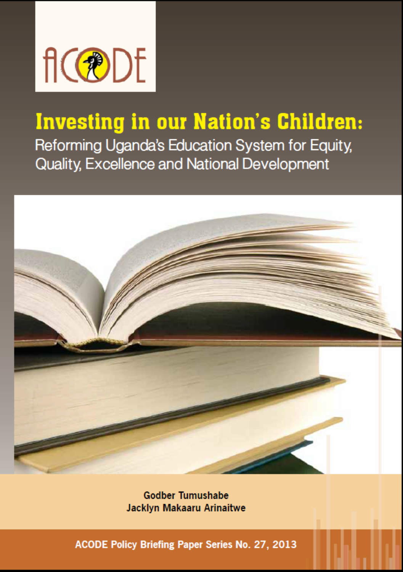

## **Investing in our Nation's Children:**

Reforming Uganda's Education System for Equity, Quality, Excellence and National Development



**Godber Tumushabe** Jacklyn Makaaru Arinaitwe

ACODE Policy Briefing Paper Series No. 27, 2013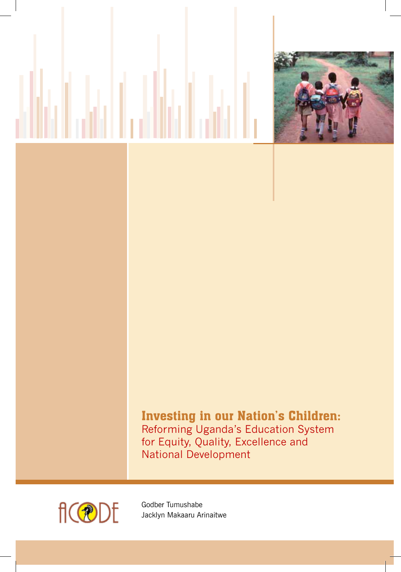

### Investing in our Nation's Children: Reforming Uganda's Education System for Equity, Quality, Excellence and National Development



Godber Tumushabe Jacklyn Makaaru Arinaitwe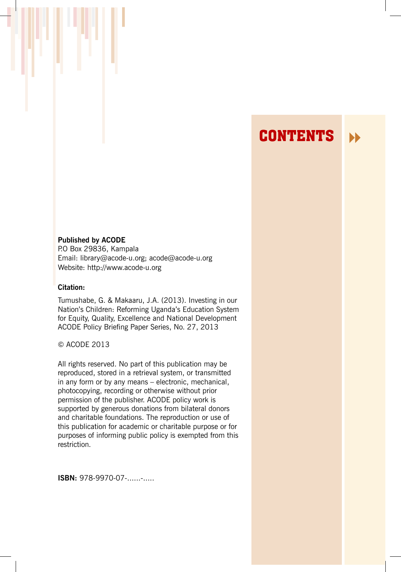### **CONTENTS**

#### **Published by ACODE**

P.O Box 29836, Kampala Email: library@acode-u.org; acode@acode-u.org Website: http://www.acode-u.org

#### **Citation:**

Tumushabe, G. & Makaaru, J.A. (2013). Investing in our Nation's Children: Reforming Uganda's Education System for Equity, Quality, Excellence and National Development ACODE Policy Briefing Paper Series, No. 27, 2013

#### © ACODE 2013

All rights reserved. No part of this publication may be reproduced, stored in a retrieval system, or transmitted in any form or by any means – electronic, mechanical, photocopying, recording or otherwise without prior permission of the publisher. ACODE policy work is supported by generous donations from bilateral donors and charitable foundations. The reproduction or use of this publication for academic or charitable purpose or for purposes of informing public policy is exempted from this restriction.

**ISBN: 978-9970-07-......-.....**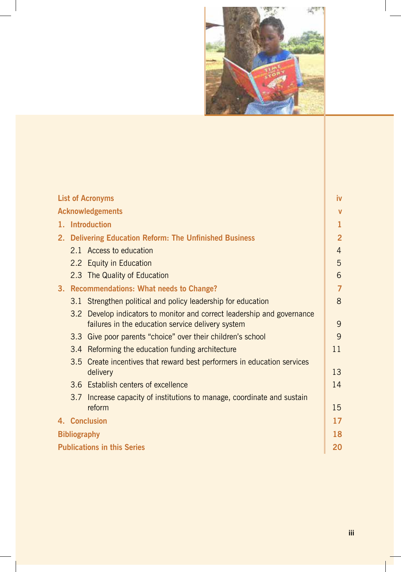

| <b>List of Acronyms</b>            |  |                                                         | iv                                                                              |                |
|------------------------------------|--|---------------------------------------------------------|---------------------------------------------------------------------------------|----------------|
| <b>Acknowledgements</b>            |  |                                                         |                                                                                 | v              |
| <b>Introduction</b><br>1.          |  |                                                         |                                                                                 | 1              |
|                                    |  | 2. Delivering Education Reform: The Unfinished Business |                                                                                 | $\overline{2}$ |
|                                    |  |                                                         | 2.1 Access to education                                                         | 4              |
|                                    |  |                                                         | 2.2 Equity in Education                                                         | 5              |
|                                    |  |                                                         | 2.3 The Quality of Education                                                    | 6              |
|                                    |  |                                                         | 3. Recommendations: What needs to Change?                                       | $\overline{7}$ |
|                                    |  |                                                         | 3.1 Strengthen political and policy leadership for education                    | 8              |
|                                    |  | 3.2                                                     | Develop indicators to monitor and correct leadership and governance             | 9              |
|                                    |  | 3.3                                                     | failures in the education service delivery system                               | 9              |
|                                    |  | 3.4                                                     | Give poor parents "choice" over their children's school                         | 11             |
|                                    |  | 3.5                                                     | Reforming the education funding architecture                                    |                |
|                                    |  |                                                         | Create incentives that reward best performers in education services<br>delivery | 13             |
|                                    |  |                                                         | 3.6 Establish centers of excellence                                             | 14             |
|                                    |  | 3.7                                                     | Increase capacity of institutions to manage, coordinate and sustain             |                |
|                                    |  |                                                         | reform                                                                          | 15             |
|                                    |  |                                                         | 4. Conclusion                                                                   | 17             |
| <b>Bibliography</b>                |  |                                                         |                                                                                 | 18             |
| <b>Publications in this Series</b> |  |                                                         |                                                                                 | 20             |
|                                    |  |                                                         |                                                                                 |                |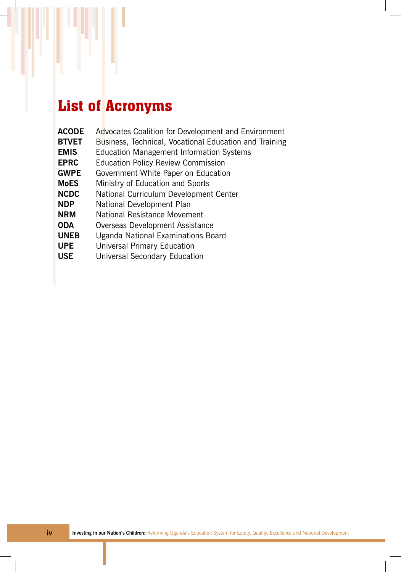# List of Acronyms

r

| <b>ACODE</b> | Advocates Coalition for Development and Environment    |
|--------------|--------------------------------------------------------|
| <b>BTVET</b> | Business, Technical, Vocational Education and Training |
| <b>EMIS</b>  | <b>Education Management Information Systems</b>        |
| <b>EPRC</b>  | <b>Education Policy Review Commission</b>              |
| <b>GWPE</b>  | Government White Paper on Education                    |
| <b>MoES</b>  | Ministry of Education and Sports                       |
| <b>NCDC</b>  | National Curriculum Development Center                 |
| <b>NDP</b>   | National Development Plan                              |
| <b>NRM</b>   | National Resistance Movement                           |
| <b>ODA</b>   | Overseas Development Assistance                        |
| <b>UNEB</b>  | Uganda National Examinations Board                     |
| <b>UPE</b>   | Universal Primary Education                            |
| <b>USE</b>   | Universal Secondary Education                          |
|              |                                                        |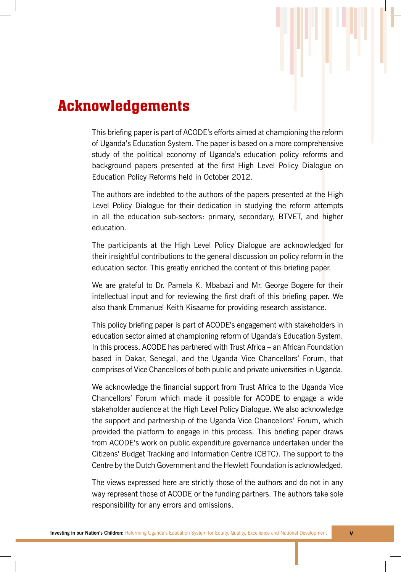

This briefing paper is part of ACODE's efforts aimed at championing the reform of Uganda's Education System. The paper is based on a more comprehensive study of the political economy of Uganda's education policy reforms and background papers presented at the first High Level Policy Dialogue on Education Policy Reforms held in October 2012.

The authors are indebted to the authors of the papers presented at the High Level Policy Dialogue for their dedication in studying the reform attempts in all the education sub-sectors: primary, secondary, BTVET, and higher education.

The participants at the High Level Policy Dialogue are acknowledged for their insightful contributions to the general discussion on policy reform in the education sector. This greatly enriched the content of this briefing paper.

We are grateful to Dr. Pamela K. Mbabazi and Mr. George Bogere for their intellectual input and for reviewing the first draft of this briefing paper. We also thank Emmanuel Keith Kisaame for providing research assistance.

This policy briefing paper is part of ACODE's engagement with stakeholders in education sector aimed at championing reform of Uganda's Education System. In this process, ACODE has partnered with Trust Africa – an African Foundation based in Dakar, Senegal, and the Uganda Vice Chancellors' Forum, that comprises of Vice Chancellors of both public and private universities in Uganda.

We acknowledge the financial support from Trust Africa to the Uganda Vice Chancellors' Forum which made it possible for ACODE to engage a wide stakeholder audience at the High Level Policy Dialogue. We also acknowledge the support and partnership of the Uganda Vice Chancellors' Forum, which provided the platform to engage in this process. This briefing paper draws from ACODE's work on public expenditure governance undertaken under the Citizens' Budget Tracking and Information Centre (CBTC). The support to the Centre by the Dutch Government and the Hewlett Foundation is acknowledged.

The views expressed here are strictly those of the authors and do not in any way represent those of ACODE or the funding partners. The authors take sole responsibility for any errors and omissions.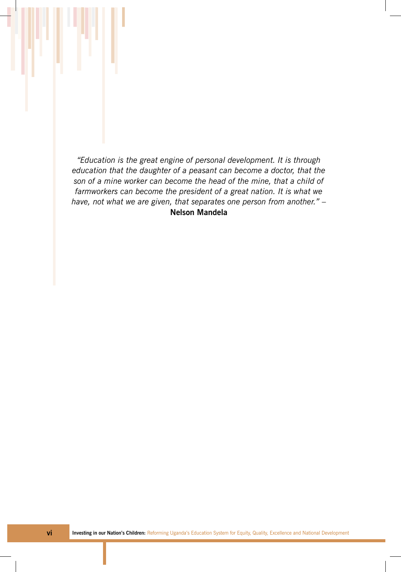*"Education is the great engine of personal development. It is through education that the daughter of a peasant can become a doctor, that the son of a mine worker can become the head of the mine, that a child of farmworkers can become the president of a great nation. It is what we have, not what we are given, that separates one person from another."* – **Nelson Mandela**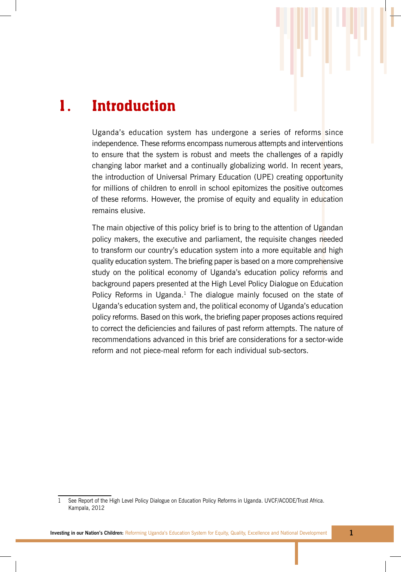

## 1. Introduction

Uganda's education system has undergone a series of reforms since independence. These reforms encompass numerous attempts and interventions to ensure that the system is robust and meets the challenges of a rapidly changing labor market and a continually globalizing world. In recent years, the introduction of Universal Primary Education (UPE) creating opportunity for millions of children to enroll in school epitomizes the positive outcomes of these reforms. However, the promise of equity and equality in education remains elusive.

The main objective of this policy brief is to bring to the attention of Ugandan policy makers, the executive and parliament, the requisite changes needed to transform our country's education system into a more equitable and high quality education system. The briefing paper is based on a more comprehensive study on the political economy of Uganda's education policy reforms and background papers presented at the High Level Policy Dialogue on Education Policy Reforms in Uganda.<sup>1</sup> The dialogue mainly focused on the state of Uganda's education system and, the political economy of Uganda's education policy reforms. Based on this work, the briefing paper proposes actions required to correct the deficiencies and failures of past reform attempts. The nature of recommendations advanced in this brief are considerations for a sector-wide reform and not piece-meal reform for each individual sub-sectors.

<sup>1</sup> See Report of the High Level Policy Dialogue on Education Policy Reforms in Uganda. UVCF/ACODE/Trust Africa. Kampala, 2012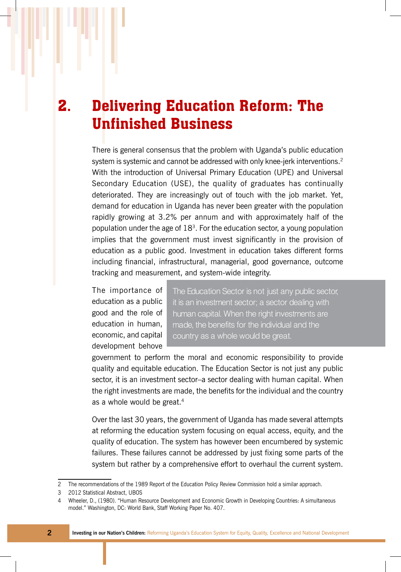## 2. Delivering Education Reform: The Unfinished Business

There is general consensus that the problem with Uganda's public education system is systemic and cannot be addressed with only knee-jerk interventions.<sup>2</sup> With the introduction of Universal Primary Education (UPE) and Universal Secondary Education (USE), the quality of graduates has continually deteriorated. They are increasingly out of touch with the job market. Yet, demand for education in Uganda has never been greater with the population rapidly growing at 3.2% per annum and with approximately half of the population under the age of  $18<sup>3</sup>$ . For the education sector, a young population implies that the government must invest significantly in the provision of education as a public good. Investment in education takes different forms including financial, infrastructural, managerial, good governance, outcome tracking and measurement, and system-wide integrity.

The importance of education as a public good and the role of education in human, economic, and capital development behove The Education Sector is not just any public sector, it is an investment sector; a sector dealing with human capital. When the right investments are made, the benefits for the individual and the country as a whole would be great.

government to perform the moral and economic responsibility to provide quality and equitable education. The Education Sector is not just any public sector, it is an investment sector–a sector dealing with human capital. When the right investments are made, the benefits for the individual and the country as a whole would be great.<sup>4</sup>

Over the last 30 years, the government of Uganda has made several attempts at reforming the education system focusing on equal access, equity, and the quality of education. The system has however been encumbered by systemic failures. These failures cannot be addressed by just fixing some parts of the system but rather by a comprehensive effort to overhaul the current system.

<sup>2</sup> The recommendations of the 1989 Report of the Education Policy Review Commission hold a similar approach.

<sup>3</sup> 2012 Statistical Abstract, UBOS

<sup>4</sup> Wheeler, D., (1980). "Human Resource Development and Economic Growth in Developing Countries: A simultaneous model." Washington, DC: World Bank, Staff Working Paper No. 407.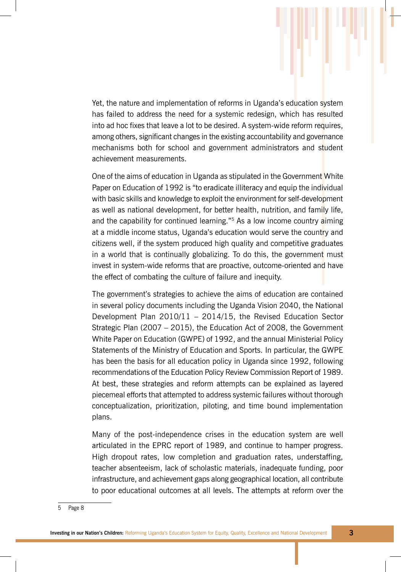Yet, the nature and implementation of reforms in Uganda's education system has failed to address the need for a systemic redesign, which has resulted into ad hoc fixes that leave a lot to be desired. A system-wide reform requires, among others, significant changes in the existing accountability and governance mechanisms both for school and government administrators and student achievement measurements.

One of the aims of education in Uganda as stipulated in the Government White Paper on Education of 1992 is "to eradicate illiteracy and equip the individual with basic skills and knowledge to exploit the environment for self-development as well as national development, for better health, nutrition, and family life, and the capability for continued learning."<sup>5</sup> As a low income country aiming at a middle income status, Uganda's education would serve the country and citizens well, if the system produced high quality and competitive graduates in a world that is continually globalizing. To do this, the government must invest in system-wide reforms that are proactive, outcome-oriented and have the effect of combating the culture of failure and inequity.

The government's strategies to achieve the aims of education are contained in several policy documents including the Uganda Vision 2040, the National Development Plan 2010/11 – 2014/15, the Revised Education Sector Strategic Plan (2007 – 2015), the Education Act of 2008, the Government White Paper on Education (GWPE) of 1992, and the annual Ministerial Policy Statements of the Ministry of Education and Sports. In particular, the GWPE has been the basis for all education policy in Uganda since 1992, following recommendations of the Education Policy Review Commission Report of 1989. At best, these strategies and reform attempts can be explained as layered piecemeal efforts that attempted to address systemic failures without thorough conceptualization, prioritization, piloting, and time bound implementation plans.

Many of the post-independence crises in the education system are well articulated in the EPRC report of 1989, and continue to hamper progress. High dropout rates, low completion and graduation rates, understaffing, teacher absenteeism, lack of scholastic materials, inadequate funding, poor infrastructure, and achievement gaps along geographical location, all contribute to poor educational outcomes at all levels. The attempts at reform over the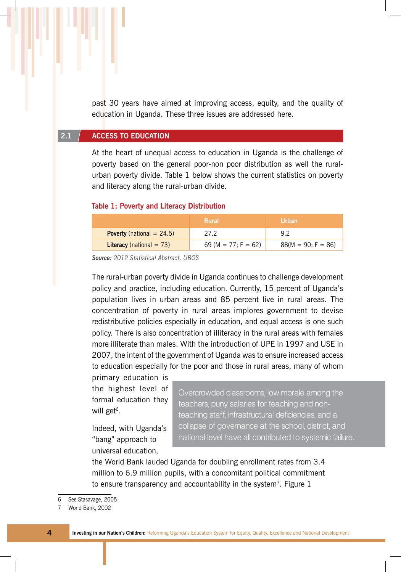past 30 years have aimed at improving access, equity, and the quality of education in Uganda. These three issues are addressed here.

#### **2.1 Access to education**

At the heart of unequal access to education in Uganda is the challenge of poverty based on the general poor-non poor distribution as well the ruralurban poverty divide. Table 1 below shows the current statistics on poverty and literacy along the rural-urban divide.

#### **Table 1: Poverty and Literacy Distribution**

|                                     | Rural               | <b>Urban</b>         |
|-------------------------------------|---------------------|----------------------|
| <b>Poverty</b> (national $= 24.5$ ) | 27.2                | 9 2                  |
| <b>Literacy</b> (national $= 73$ )  | 69 (M = 77; F = 62) | $88(M = 90; F = 86)$ |

*Source: 2012 Statistical Abstract, UBOS*

The rural-urban poverty divide in Uganda continues to challenge development policy and practice, including education. Currently, 15 percent of Uganda's population lives in urban areas and 85 percent live in rural areas. The concentration of poverty in rural areas implores government to devise redistributive policies especially in education, and equal access is one such policy. There is also concentration of illiteracy in the rural areas with females more illiterate than males. With the introduction of UPE in 1997 and USE in 2007, the intent of the government of Uganda was to ensure increased access to education especially for the poor and those in rural areas, many of whom

primary education is the highest level of formal education they will get $6$ .

Indeed, with Uganda's "bang" approach to universal education,

Overcrowded classrooms, low morale among the teachers, puny salaries for teaching and nonteaching staff, infrastructural deficiencies, and a collapse of governance at the school, district, and national level have all contributed to systemic failure.

the World Bank lauded Uganda for doubling enrollment rates from 3.4 million to 6.9 million pupils, with a concomitant political commitment to ensure transparency and accountability in the system<sup>7</sup>. Figure  $1$ 

<sup>6</sup> See Stasavage, 2005

<sup>7</sup> World Bank, 2002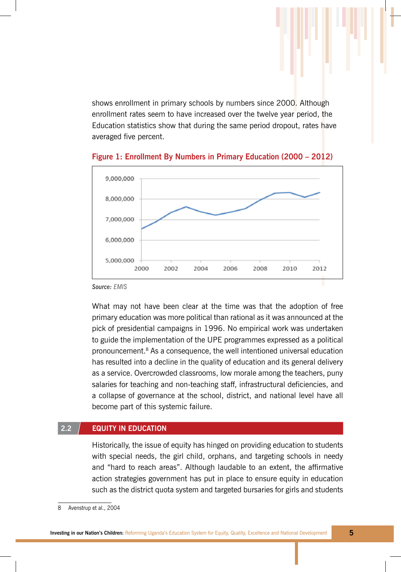shows enrollment in primary schools by numbers since 2000. Although enrollment rates seem to have increased over the twelve year period, the Education statistics show that during the same period dropout, rates have averaged five percent.



**Figure 1: Enrollment By Numbers in Primary Education (2000 – 2012)**

*Source: EMIS*

What may not have been clear at the time was that the adoption of free primary education was more political than rational as it was announced at the pick of presidential campaigns in 1996. No empirical work was undertaken to guide the implementation of the UPE programmes expressed as a political pronouncement.8 As a consequence, the well intentioned universal education has resulted into a decline in the quality of education and its general delivery as a service. Overcrowded classrooms, low morale among the teachers, puny salaries for teaching and non-teaching staff, infrastructural deficiencies, and a collapse of governance at the school, district, and national level have all become part of this systemic failure.

#### **2.2 Equity in Education**

Historically, the issue of equity has hinged on providing education to students with special needs, the girl child, orphans, and targeting schools in needy and "hard to reach areas". Although laudable to an extent, the affirmative action strategies government has put in place to ensure equity in education such as the district quota system and targeted bursaries for girls and students

<sup>8</sup> Avenstrup et al., 2004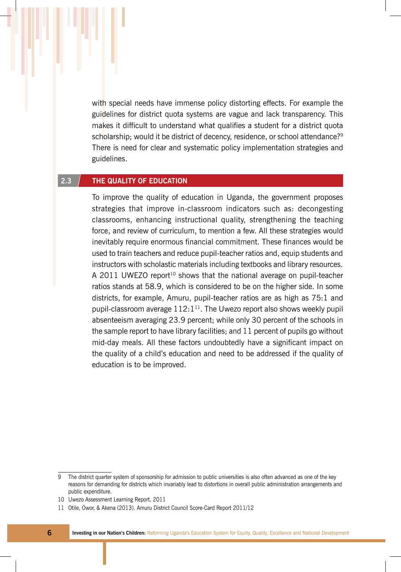with special needs have immense policy distorting effects. For example the guidelines for district quota systems are vague and lack transparency. This makes it difficult to understand what qualifies a student for a district quota scholarship; would it be district of decency, residence, or school attendance?<sup>9</sup> There is need for clear and systematic policy implementation strategies and guidelines.

#### **2.3 The Quality of Education**

To improve the quality of education in Uganda, the government proposes strategies that improve in-classroom indicators such as: decongesting classrooms, enhancing instructional quality, strengthening the teaching force, and review of curriculum, to mention a few. All these strategies would inevitably require enormous financial commitment. These finances would be used to train teachers and reduce pupil-teacher ratios and, equip students and instructors with scholastic materials including textbooks and library resources. A 2011 UWEZO report<sup>10</sup> shows that the national average on pupil-teacher ratios stands at 58.9, which is considered to be on the higher side. In some districts, for example, Amuru, pupil-teacher ratios are as high as 75:1 and pupil-classroom average  $112:1^{11}$ . The Uwezo report also shows weekly pupil absenteeism averaging 23.9 percent; while only 30 percent of the schools in the sample report to have library facilities; and 11 percent of pupils go without mid-day meals. All these factors undoubtedly have a significant impact on the quality of a child's education and need to be addressed if the quality of education is to be improved.

<sup>9</sup> The district quarter system of sponsorship for admission to public universities is also often advanced as one of the key reasons for demanding for districts which invariably lead to distortions in overall public administration arrangements and public expenditure.

<sup>10</sup> Uwezo Assessment Learning Report, 2011

<sup>11</sup> Otile, Owor, & Akena (2013). Amuru District Council Score-Card Report 2011/12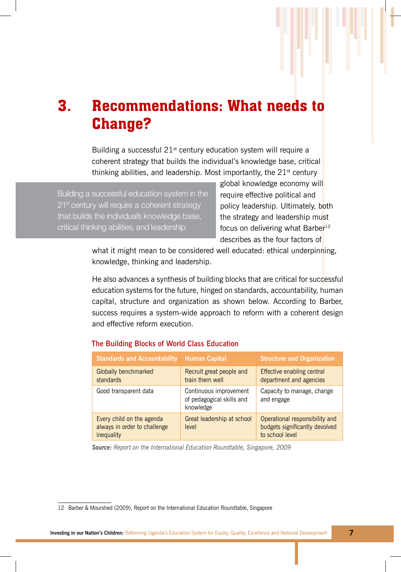### 3. Recommendations: What needs to Change?

Building a successful  $21<sup>st</sup>$  century education system will require a coherent strategy that builds the individual's knowledge base, critical thinking abilities, and leadership. Most importantly, the  $21<sup>st</sup>$  century

Building a successful education system in the 21<sup>st</sup> century will require a coherent strategy that builds the individual's knowledge base, critical thinking abilities, and leadership.

global knowledge economy will require effective political and policy leadership. Ultimately, both the strategy and leadership must focus on delivering what Barber<sup>12</sup> describes as the four factors of

what it might mean to be considered well educated: ethical underpinning, knowledge, thinking and leadership.

He also advances a synthesis of building blocks that are critical for successful education systems for the future, hinged on standards, accountability, human capital, structure and organization as shown below. According to Barber, success requires a system-wide approach to reform with a coherent design and effective reform execution.

#### **The Building Blocks of World Class Education**

| <b>Standards and Accountability Human Capital</b>                       |                                                                  | <b>Structure and Organization</b>                                                   |  |  |
|-------------------------------------------------------------------------|------------------------------------------------------------------|-------------------------------------------------------------------------------------|--|--|
| Globally benchmarked<br>standards                                       | Recruit great people and<br>train them well                      | Effective enabling central<br>department and agencies                               |  |  |
| Good transparent data                                                   | Continuous improvement<br>of pedagogical skills and<br>knowledge | Capacity to manage, change<br>and engage                                            |  |  |
| Every child on the agenda<br>always in order to challenge<br>inequality | Great leadership at school<br>level                              | Operational responsibility and<br>budgets significantly devolved<br>to school level |  |  |

*Source: Report on the International Education Roundtable, Singapore, 2009*

<sup>12</sup> Barber & Mourshed (2009), Report on the International Education Roundtable, Singapore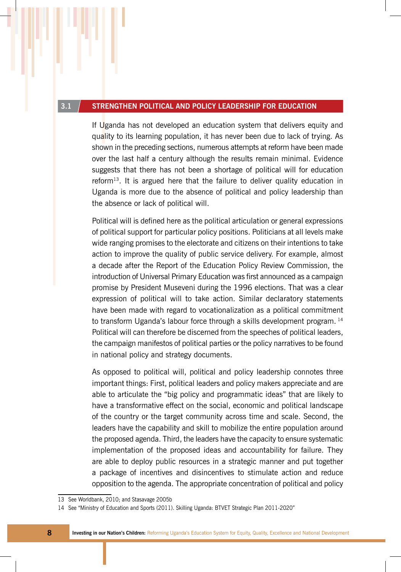#### **3.1 Strengthen political and policy leadership for education**

If Uganda has not developed an education system that delivers equity and quality to its learning population, it has never been due to lack of trying. As shown in the preceding sections, numerous attempts at reform have been made over the last half a century although the results remain minimal. Evidence suggests that there has not been a shortage of political will for education reform<sup>13</sup>. It is argued here that the failure to deliver quality education in Uganda is more due to the absence of political and policy leadership than the absence or lack of political will.

Political will is defined here as the political articulation or general expressions of political support for particular policy positions. Politicians at all levels make wide ranging promises to the electorate and citizens on their intentions to take action to improve the quality of public service delivery. For example, almost a decade after the Report of the Education Policy Review Commission, the introduction of Universal Primary Education was first announced as a campaign promise by President Museveni during the 1996 elections. That was a clear expression of political will to take action. Similar declaratory statements have been made with regard to vocationalization as a political commitment to transform Uganda's labour force through a skills development program.<sup>14</sup> Political will can therefore be discerned from the speeches of political leaders, the campaign manifestos of political parties or the policy narratives to be found in national policy and strategy documents.

As opposed to political will, political and policy leadership connotes three important things: First, political leaders and policy makers appreciate and are able to articulate the "big policy and programmatic ideas" that are likely to have a transformative effect on the social, economic and political landscape of the country or the target community across time and scale. Second, the leaders have the capability and skill to mobilize the entire population around the proposed agenda. Third, the leaders have the capacity to ensure systematic implementation of the proposed ideas and accountability for failure. They are able to deploy public resources in a strategic manner and put together a package of incentives and disincentives to stimulate action and reduce opposition to the agenda. The appropriate concentration of political and policy

<sup>13</sup> See Worldbank, 2010; and Stasavage 2005b

<sup>14</sup> See "Ministry of Education and Sports (2011). Skilling Uganda: BTVET Strategic Plan 2011-2020"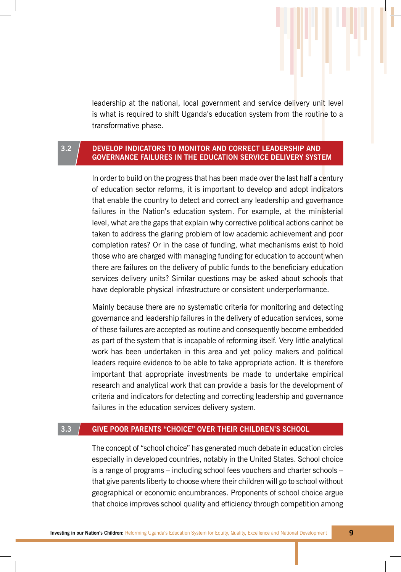leadership at the national, local government and service delivery unit level is what is required to shift Uganda's education system from the routine to a transformative phase.

#### **3.2 Develop indicators to monitor and correct leadership and governance failures in the education service delivery system**

In order to build on the progress that has been made over the last half a century of education sector reforms, it is important to develop and adopt indicators that enable the country to detect and correct any leadership and governance failures in the Nation's education system. For example, at the ministerial level, what are the gaps that explain why corrective political actions cannot be taken to address the glaring problem of low academic achievement and poor completion rates? Or in the case of funding, what mechanisms exist to hold those who are charged with managing funding for education to account when there are failures on the delivery of public funds to the beneficiary education services delivery units? Similar questions may be asked about schools that have deplorable physical infrastructure or consistent underperformance.

Mainly because there are no systematic criteria for monitoring and detecting governance and leadership failures in the delivery of education services, some of these failures are accepted as routine and consequently become embedded as part of the system that is incapable of reforming itself. Very little analytical work has been undertaken in this area and yet policy makers and political leaders require evidence to be able to take appropriate action. It is therefore important that appropriate investments be made to undertake empirical research and analytical work that can provide a basis for the development of criteria and indicators for detecting and correcting leadership and governance failures in the education services delivery system.

#### **3.3 Give poor parents "choice" over their children's school**

The concept of "school choice" has generated much debate in education circles especially in developed countries, notably in the United States. School choice is a range of programs – including school fees vouchers and charter schools – that give parents liberty to choose where their children will go to school without geographical or economic encumbrances. Proponents of school choice argue that choice improves school quality and efficiency through competition among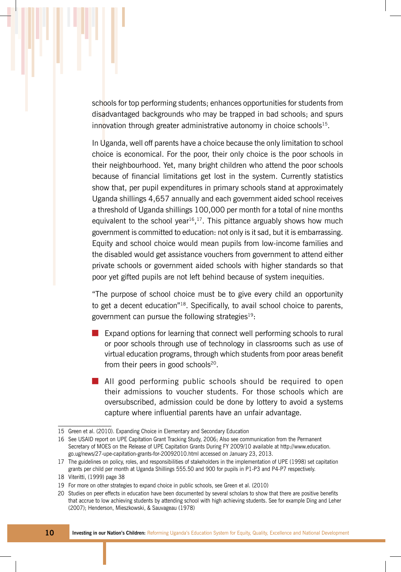schools for top performing students; enhances opportunities for students from disadvantaged backgrounds who may be trapped in bad schools; and spurs innovation through greater administrative autonomy in choice schools<sup>15</sup>.

In Uganda, well off parents have a choice because the only limitation to school choice is economical. For the poor, their only choice is the poor schools in their neighbourhood. Yet, many bright children who attend the poor schools because of financial limitations get lost in the system. Currently statistics show that, per pupil expenditures in primary schools stand at approximately Uganda shillings 4,657 annually and each government aided school receives a threshold of Uganda shillings 100,000 per month for a total of nine months equivalent to the school year<sup>16</sup>,<sup>17</sup>. This pittance arguably shows how much government is committed to education: not only is it sad, but it is embarrassing. Equity and school choice would mean pupils from low-income families and the disabled would get assistance vouchers from government to attend either private schools or government aided schools with higher standards so that poor yet gifted pupils are not left behind because of system inequities.

"The purpose of school choice must be to give every child an opportunity to get a decent education"18. Specifically, to avail school choice to parents, government can pursue the following strategies $19$ :

- Expand options for learning that connect well performing schools to rural or poor schools through use of technology in classrooms such as use of virtual education programs, through which students from poor areas benefit from their peers in good schools $20$ .
- All good performing public schools should be required to open their admissions to voucher students. For those schools which are oversubscribed, admission could be done by lottery to avoid a systems capture where influential parents have an unfair advantage.

<sup>15</sup> Green et al. (2010). Expanding Choice in Elementary and Secondary Education

<sup>16</sup> See USAID report on UPE Capitation Grant Tracking Study, 2006; Also see communication from the Permanent Secretary of MOES on the Release of UPE Capitation Grants During FY 2009/10 available at http://www.education. go.ug/news/27-upe-capitation-grants-for-20092010.html accessed on January 23, 2013.

<sup>17</sup> The guidelines on policy, roles, and responsibilities of stakeholders in the implementation of UPE (1998) set capitation grants per child per month at Uganda Shillings 555.50 and 900 for pupils in P1-P3 and P4-P7 respectively.

<sup>18</sup> Viteritti, (1999) page 38

<sup>19</sup> For more on other strategies to expand choice in public schools, see Green et al. (2010)

<sup>20</sup> Studies on peer effects in education have been documented by several scholars to show that there are positive benefits that accrue to low achieving students by attending school with high achieving students. See for example Ding and Leher (2007); Henderson, Mieszkowski, & Sauvageau (1978)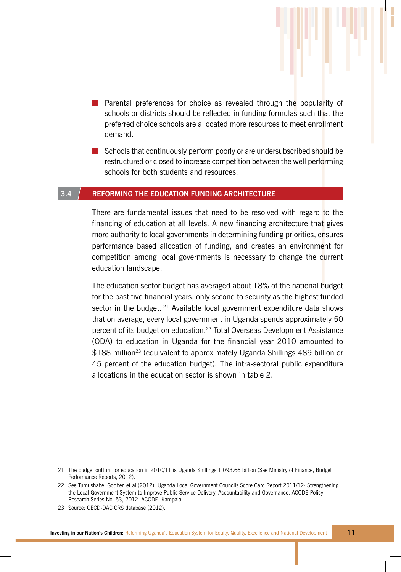- Parental preferences for choice as revealed through the popularity of schools or districts should be reflected in funding formulas such that the preferred choice schools are allocated more resources to meet enrollment demand.
- Schools that continuously perform poorly or are undersubscribed should be restructured or closed to increase competition between the well performing schools for both students and resources.

#### **3.4 Reforming the education funding architecture**

There are fundamental issues that need to be resolved with regard to the financing of education at all levels. A new financing architecture that gives more authority to local governments in determining funding priorities, ensures performance based allocation of funding, and creates an environment for competition among local governments is necessary to change the current education landscape.

The education sector budget has averaged about 18% of the national budget for the past five financial years, only second to security as the highest funded sector in the budget.  $21$  Available local government expenditure data shows that on average, every local government in Uganda spends approximately 50 percent of its budget on education.<sup>22</sup> Total Overseas Development Assistance (ODA) to education in Uganda for the financial year 2010 amounted to \$188 million<sup>23</sup> (equivalent to approximately Uganda Shillings 489 billion or 45 percent of the education budget). The intra-sectoral public expenditure allocations in the education sector is shown in table 2.

<sup>21</sup> The budget outturn for education in 2010/11 is Uganda Shillings 1,093.66 billion (See Ministry of Finance, Budget Performance Reports, 2012).

<sup>22</sup> See Tumushabe, Godber, et al (2012). Uganda Local Government Councils Score Card Report 2011/12: Strengthening the Local Government System to Improve Public Service Delivery, Accountability and Governance. ACODE Policy Research Series No. 53, 2012. ACODE. Kampala.

<sup>23</sup> Source: OECD-DAC CRS database (2012).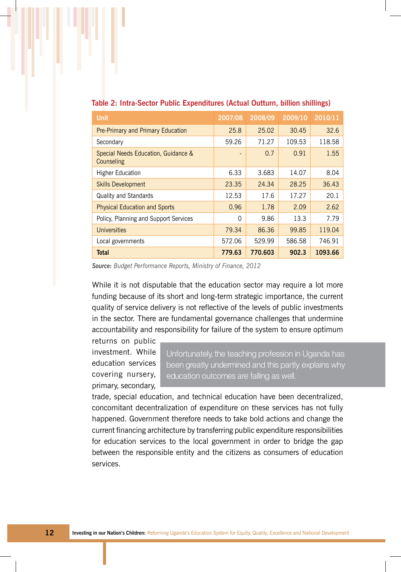| <b>Unit</b>                                       | 2007/08  | 2008/09 | 2009/10 | 2010/11 |
|---------------------------------------------------|----------|---------|---------|---------|
| Pre-Primary and Primary Education                 | 25.8     | 25.02   | 30.45   | 32.6    |
| Secondary                                         | 59.26    | 71.27   | 109.53  | 118.58  |
| Special Needs Education, Guidance &<br>Counseling |          | 0.7     | 0.91    | 1.55    |
| <b>Higher Education</b>                           | 6.33     | 3.683   | 14.07   | 8.04    |
| <b>Skills Development</b>                         | 23.35    | 24.34   | 28.25   | 36.43   |
| <b>Quality and Standards</b>                      | 12.53    | 17.6    | 17.27   | 20.1    |
| <b>Physical Education and Sports</b>              | 0.96     | 1.78    | 2.09    | 2.62    |
| Policy, Planning and Support Services             | $\Omega$ | 9.86    | 13.3    | 7.79    |
| <b>Universities</b>                               | 79.34    | 86.36   | 99.85   | 119.04  |
| Local governments                                 | 572.06   | 529.99  | 586.58  | 746.91  |
| <b>Total</b>                                      | 779.63   | 770.603 | 902.3   | 1093.66 |

#### **Table 2: Intra-Sector Public Expenditures (Actual Outturn, billion shillings)**

*Source: Budget Performance Reports, Ministry of Finance, 2012*

While it is not disputable that the education sector may require a lot more funding because of its short and long-term strategic importance, the current quality of service delivery is not reflective of the levels of public investments in the sector. There are fundamental governance challenges that undermine accountability and responsibility for failure of the system to ensure optimum

returns on public investment. While education services covering nursery, primary, secondary,

Unfortunately, the teaching profession in Uganda has been greatly undermined and this partly explains why education outcomes are falling as well.

trade, special education, and technical education have been decentralized, concomitant decentralization of expenditure on these services has not fully happened. Government therefore needs to take bold actions and change the current financing architecture by transferring public expenditure responsibilities for education services to the local government in order to bridge the gap between the responsible entity and the citizens as consumers of education services.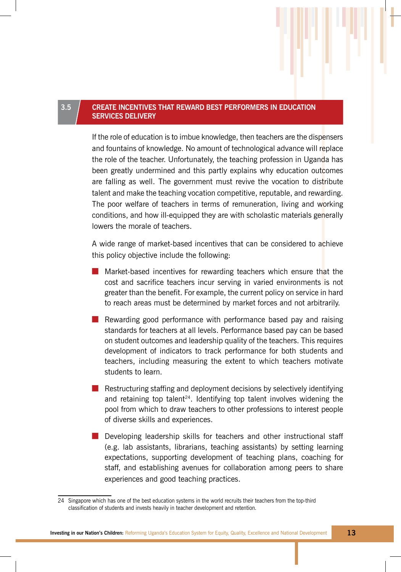#### **3.5 Create incentives that reward best performers in Education services delivery**

If the role of education is to imbue knowledge, then teachers are the dispensers and fountains of knowledge. No amount of technological advance will replace the role of the teacher. Unfortunately, the teaching profession in Uganda has been greatly undermined and this partly explains why education outcomes are falling as well. The government must revive the vocation to distribute talent and make the teaching vocation competitive, reputable, and rewarding. The poor welfare of teachers in terms of remuneration, living and working conditions, and how ill-equipped they are with scholastic materials generally lowers the morale of teachers.

A wide range of market-based incentives that can be considered to achieve this policy objective include the following:

- Market-based incentives for rewarding teachers which ensure that the cost and sacrifice teachers incur serving in varied environments is not greater than the benefit. For example, the current policy on service in hard to reach areas must be determined by market forces and not arbitrarily.
- Rewarding good performance with performance based pay and raising standards for teachers at all levels. Performance based pay can be based on student outcomes and leadership quality of the teachers. This requires development of indicators to track performance for both students and teachers, including measuring the extent to which teachers motivate students to learn.
- Restructuring staffing and deployment decisions by selectively identifying and retaining top talent<sup>24</sup>. Identifying top talent involves widening the pool from which to draw teachers to other professions to interest people of diverse skills and experiences.
- Developing leadership skills for teachers and other instructional staff (e.g. lab assistants, librarians, teaching assistants) by setting learning expectations, supporting development of teaching plans, coaching for staff, and establishing avenues for collaboration among peers to share experiences and good teaching practices.

<sup>24</sup> Singapore which has one of the best education systems in the world recruits their teachers from the top-third classification of students and invests heavily in teacher development and retention.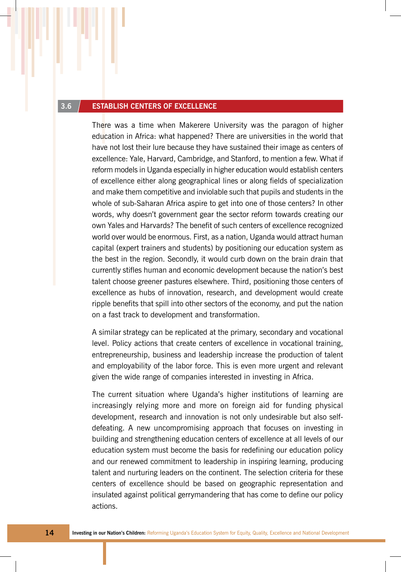#### **3.6 Establish centers of excellence**

There was a time when Makerere University was the paragon of higher education in Africa: what happened? There are universities in the world that have not lost their lure because they have sustained their image as centers of excellence: Yale, Harvard, Cambridge, and Stanford, to mention a few. What if reform models in Uganda especially in higher education would establish centers of excellence either along geographical lines or along fields of specialization and make them competitive and inviolable such that pupils and students in the whole of sub-Saharan Africa aspire to get into one of those centers? In other words, why doesn't government gear the sector reform towards creating our own Yales and Harvards? The benefit of such centers of excellence recognized world over would be enormous. First, as a nation, Uganda would attract human capital (expert trainers and students) by positioning our education system as the best in the region. Secondly, it would curb down on the brain drain that currently stifles human and economic development because the nation's best talent choose greener pastures elsewhere. Third, positioning those centers of excellence as hubs of innovation, research, and development would create ripple benefits that spill into other sectors of the economy, and put the nation on a fast track to development and transformation.

A similar strategy can be replicated at the primary, secondary and vocational level. Policy actions that create centers of excellence in vocational training, entrepreneurship, business and leadership increase the production of talent and employability of the labor force. This is even more urgent and relevant given the wide range of companies interested in investing in Africa.

The current situation where Uganda's higher institutions of learning are increasingly relying more and more on foreign aid for funding physical development, research and innovation is not only undesirable but also selfdefeating. A new uncompromising approach that focuses on investing in building and strengthening education centers of excellence at all levels of our education system must become the basis for redefining our education policy and our renewed commitment to leadership in inspiring learning, producing talent and nurturing leaders on the continent. The selection criteria for these centers of excellence should be based on geographic representation and insulated against political gerrymandering that has come to define our policy actions.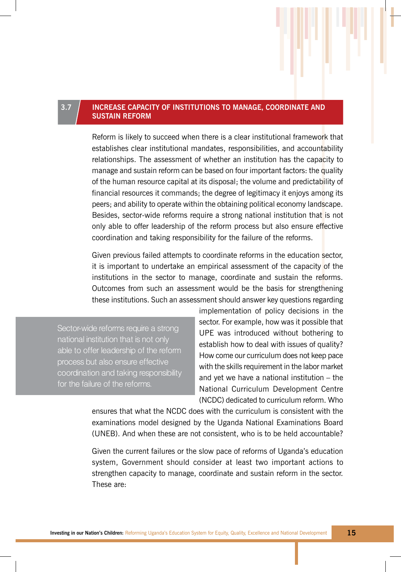#### **3.7 Increase capacity of Institutions to manage, coordinate and sustain reform**

Reform is likely to succeed when there is a clear institutional framework that establishes clear institutional mandates, responsibilities, and accountability relationships. The assessment of whether an institution has the capacity to manage and sustain reform can be based on four important factors: the quality of the human resource capital at its disposal; the volume and predictability of financial resources it commands; the degree of legitimacy it enjoys among its peers; and ability to operate within the obtaining political economy landscape. Besides, sector-wide reforms require a strong national institution that is not only able to offer leadership of the reform process but also ensure effective coordination and taking responsibility for the failure of the reforms.

Given previous failed attempts to coordinate reforms in the education sector, it is important to undertake an empirical assessment of the capacity of the institutions in the sector to manage, coordinate and sustain the reforms. Outcomes from such an assessment would be the basis for strengthening these institutions. Such an assessment should answer key questions regarding

Sector-wide reforms require a strong national institution that is not only able to offer leadership of the reform process but also ensure effective coordination and taking responsibility for the failure of the reforms.

implementation of policy decisions in the sector. For example, how was it possible that UPE was introduced without bothering to establish how to deal with issues of quality? How come our curriculum does not keep pace with the skills requirement in the labor market and yet we have a national institution – the National Curriculum Development Centre (NCDC) dedicated to curriculum reform. Who

ensures that what the NCDC does with the curriculum is consistent with the examinations model designed by the Uganda National Examinations Board (UNEB). And when these are not consistent, who is to be held accountable?

Given the current failures or the slow pace of reforms of Uganda's education system, Government should consider at least two important actions to strengthen capacity to manage, coordinate and sustain reform in the sector. These are: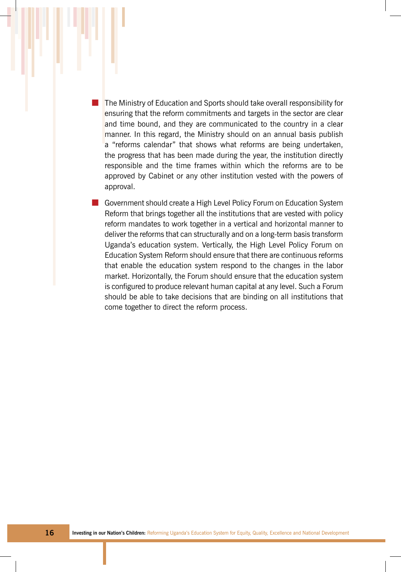■ The Ministry of Education and Sports should take overall responsibility for ensuring that the reform commitments and targets in the sector are clear and time bound, and they are communicated to the country in a clear manner. In this regard, the Ministry should on an annual basis publish a "reforms calendar" that shows what reforms are being undertaken, the progress that has been made during the year, the institution directly responsible and the time frames within which the reforms are to be approved by Cabinet or any other institution vested with the powers of approval.

■ Government should create a High Level Policy Forum on Education System Reform that brings together all the institutions that are vested with policy reform mandates to work together in a vertical and horizontal manner to deliver the reforms that can structurally and on a long-term basis transform Uganda's education system. Vertically, the High Level Policy Forum on Education System Reform should ensure that there are continuous reforms that enable the education system respond to the changes in the labor market. Horizontally, the Forum should ensure that the education system is configured to produce relevant human capital at any level. Such a Forum should be able to take decisions that are binding on all institutions that come together to direct the reform process.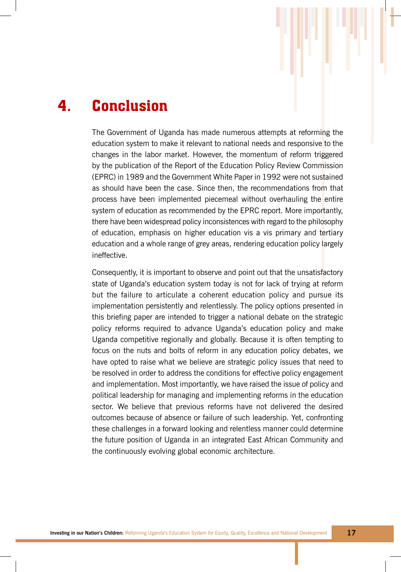## 4. Conclusion

The Government of Uganda has made numerous attempts at reforming the education system to make it relevant to national needs and responsive to the changes in the labor market. However, the momentum of reform triggered by the publication of the Report of the Education Policy Review Commission (EPRC) in 1989 and the Government White Paper in 1992 were not sustained as should have been the case. Since then, the recommendations from that process have been implemented piecemeal without overhauling the entire system of education as recommended by the EPRC report. More importantly, there have been widespread policy inconsistences with regard to the philosophy of education, emphasis on higher education vis a vis primary and tertiary education and a whole range of grey areas, rendering education policy largely ineffective.

Consequently, it is important to observe and point out that the unsatisfactory state of Uganda's education system today is not for lack of trying at reform but the failure to articulate a coherent education policy and pursue its implementation persistently and relentlessly. The policy options presented in this briefing paper are intended to trigger a national debate on the strategic policy reforms required to advance Uganda's education policy and make Uganda competitive regionally and globally. Because it is often tempting to focus on the nuts and bolts of reform in any education policy debates, we have opted to raise what we believe are strategic policy issues that need to be resolved in order to address the conditions for effective policy engagement and implementation. Most importantly, we have raised the issue of policy and political leadership for managing and implementing reforms in the education sector. We believe that previous reforms have not delivered the desired outcomes because of absence or failure of such leadership. Yet, confronting these challenges in a forward looking and relentless manner could determine the future position of Uganda in an integrated East African Community and the continuously evolving global economic architecture.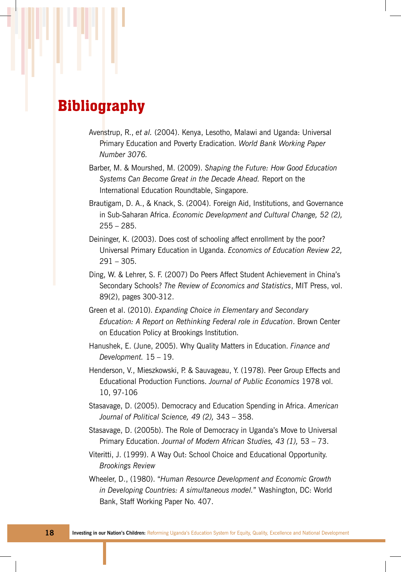### **Bibliography**

- Avenstrup, R., *et al.* (2004). Kenya, Lesotho, Malawi and Uganda: Universal Primary Education and Poverty Eradication. *World Bank Working Paper Number 3076.*
- Barber, M. & Mourshed, M. (2009). *Shaping the Future: How Good Education Systems Can Become Great in the Decade Ahead.* Report on the International Education Roundtable, Singapore.
- Brautigam, D. A., & Knack, S. (2004). Foreign Aid, Institutions, and Governance in Sub-Saharan Africa. *Economic Development and Cultural Change, 52 (2),*  255 – 285.
- Deininger, K. (2003). Does cost of schooling affect enrollment by the poor? Universal Primary Education in Uganda. *Economics of Education Review 22,*   $291 - 305.$
- Ding, W. & Lehrer, S. F. (2007) Do Peers Affect Student Achievement in China's Secondary Schools? *The Review of Economics and Statistics*, MIT Press, vol. 89(2), pages 300-312.
- Green et al. (2010). *Expanding Choice in Elementary and Secondary Education: A Report on Rethinking Federal role in Education*. Brown Center on Education Policy at Brookings Institution.
- Hanushek, E. (June, 2005). Why Quality Matters in Education. *Finance and Development.* 15 – 19.
- Henderson, V., Mieszkowski, P. & Sauvageau, Y. (1978). Peer Group Effects and Educational Production Functions. *Journal of Public Economics* 1978 vol. 10, 97-106
- Stasavage, D. (2005). Democracy and Education Spending in Africa. *American Journal of Political Science, 49 (2),* 343 – 358.
- Stasavage, D. (2005b). The Role of Democracy in Uganda's Move to Universal Primary Education. *Journal of Modern African Studies, 43 (1),* 53 – 73.
- Viteritti, J. (1999). A Way Out: School Choice and Educational Opportunity. *Brookings Review*
- Wheeler, D., (1980). "*Human Resource Development and Economic Growth in Developing Countries: A simultaneous model.*" Washington, DC: World Bank, Staff Working Paper No. 407.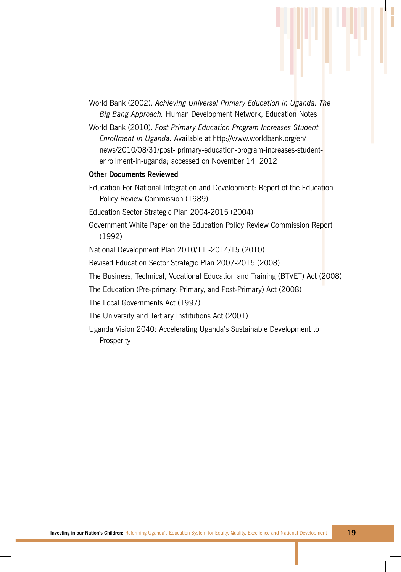- World Bank (2002). *Achieving Universal Primary Education in Uganda: The Big Bang Approach.* Human Development Network, Education Notes
- World Bank (2010). *Post Primary Education Program Increases Student Enrollment in Uganda.* Available at http://www.worldbank.org/en/ news/2010/08/31/post- primary-education-program-increases-studentenrollment-in-uganda; accessed on November 14, 2012

#### **Other Documents Reviewed**

- Education For National Integration and Development: Report of the Education Policy Review Commission (1989)
- Education Sector Strategic Plan 2004-2015 (2004)
- Government White Paper on the Education Policy Review Commission Report (1992)
- National Development Plan 2010/11 -2014/15 (2010)
- Revised Education Sector Strategic Plan 2007-2015 (2008)
- The Business, Technical, Vocational Education and Training (BTVET) Act (2008)
- The Education (Pre-primary, Primary, and Post-Primary) Act (2008)
- The Local Governments Act (1997)
- The University and Tertiary Institutions Act (2001)
- Uganda Vision 2040: Accelerating Uganda's Sustainable Development to Prosperity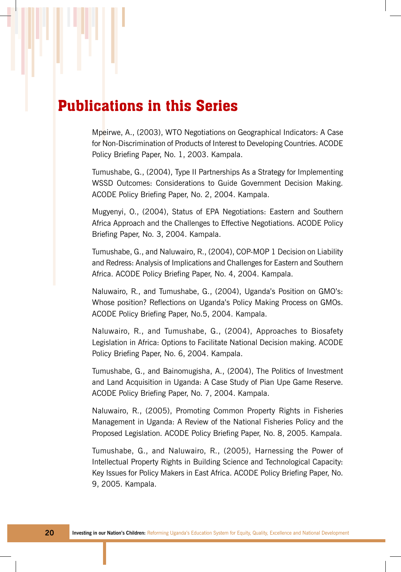### Publications in this Series

Mpeirwe, A., (2003), WTO Negotiations on Geographical Indicators: A Case for Non-Discrimination of Products of Interest to Developing Countries. ACODE Policy Briefing Paper, No. 1, 2003. Kampala.

Tumushabe, G., (2004), Type II Partnerships As a Strategy for Implementing WSSD Outcomes: Considerations to Guide Government Decision Making. ACODE Policy Briefing Paper, No. 2, 2004. Kampala.

Mugyenyi, O., (2004), Status of EPA Negotiations: Eastern and Southern Africa Approach and the Challenges to Effective Negotiations. ACODE Policy Briefing Paper, No. 3, 2004. Kampala.

Tumushabe, G., and Naluwairo, R., (2004), COP-MOP 1 Decision on Liability and Redress: Analysis of Implications and Challenges for Eastern and Southern Africa. ACODE Policy Briefing Paper, No. 4, 2004. Kampala.

Naluwairo, R., and Tumushabe, G., (2004), Uganda's Position on GMO's: Whose position? Reflections on Uganda's Policy Making Process on GMOs. ACODE Policy Briefing Paper, No.5, 2004. Kampala.

Naluwairo, R., and Tumushabe, G., (2004), Approaches to Biosafety Legislation in Africa: Options to Facilitate National Decision making. ACODE Policy Briefing Paper, No. 6, 2004. Kampala.

Tumushabe, G., and Bainomugisha, A., (2004), The Politics of Investment and Land Acquisition in Uganda: A Case Study of Pian Upe Game Reserve. ACODE Policy Briefing Paper, No. 7, 2004. Kampala.

Naluwairo, R., (2005), Promoting Common Property Rights in Fisheries Management in Uganda: A Review of the National Fisheries Policy and the Proposed Legislation. ACODE Policy Briefing Paper, No. 8, 2005. Kampala.

Tumushabe, G., and Naluwairo, R., (2005), Harnessing the Power of Intellectual Property Rights in Building Science and Technological Capacity: Key Issues for Policy Makers in East Africa. ACODE Policy Briefing Paper, No. 9, 2005. Kampala.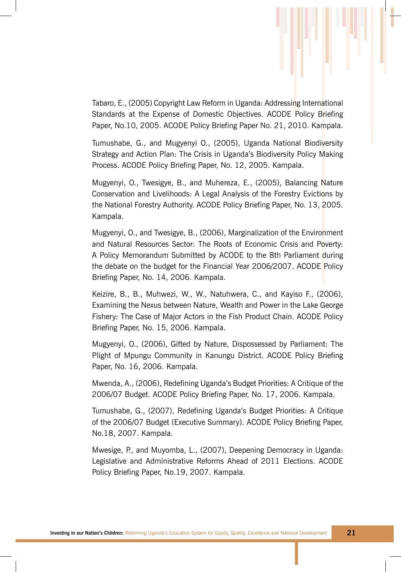Tabaro, E., (2005) Copyright Law Reform in Uganda: Addressing International Standards at the Expense of Domestic Objectives. ACODE Policy Briefing Paper, No.10, 2005. ACODE Policy Briefing Paper No. 21, 2010. Kampala.

Tumushabe, G., and Mugyenyi O., (2005), Uganda National Biodiversity Strategy and Action Plan: The Crisis in Uganda's Biodiversity Policy Making Process. ACODE Policy Briefing Paper, No. 12, 2005. Kampala.

Mugyenyi, O., Twesigye, B., and Muhereza, E., (2005), Balancing Nature Conservation and Livelihoods: A Legal Analysis of the Forestry Evictions by the National Forestry Authority. ACODE Policy Briefing Paper, No. 13, 2005. Kampala.

Mugyenyi, O., and Twesigye, B., (2006), Marginalization of the Environment and Natural Resources Sector: The Roots of Economic Crisis and Poverty: A Policy Memorandum Submitted by ACODE to the 8th Parliament during the debate on the budget for the Financial Year 2006/2007. ACODE Policy Briefing Paper, No. 14, 2006. Kampala.

Keizire, B., B., Muhwezi, W., W., Natuhwera, C., and Kayiso F., (2006), Examining the Nexus between Nature, Wealth and Power in the Lake George Fishery: The Case of Major Actors in the Fish Product Chain. ACODE Policy Briefing Paper, No. 15, 2006. Kampala.

Mugyenyi, O., (2006), Gifted by Nature, Dispossessed by Parliament: The Plight of Mpungu Community in Kanungu District. ACODE Policy Briefing Paper, No. 16, 2006. Kampala.

Mwenda, A., (2006), Redefining Uganda's Budget Priorities: A Critique of the 2006/07 Budget. ACODE Policy Briefing Paper, No. 17, 2006. Kampala.

Tumushabe, G., (2007), Redefining Uganda's Budget Priorities: A Critique of the 2006/07 Budget (Executive Summary). ACODE Policy Briefing Paper, No.18, 2007. Kampala.

Mwesige, P., and Muyomba, L., (2007), Deepening Democracy in Uganda: Legislative and Administrative Reforms Ahead of 2011 Elections. ACODE Policy Briefing Paper, No.19, 2007. Kampala.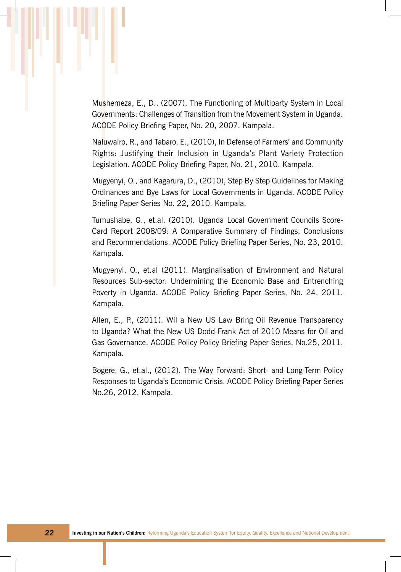Mushemeza, E., D., (2007), The Functioning of Multiparty System in Local Governments: Challenges of Transition from the Movement System in Uganda. ACODE Policy Briefing Paper, No. 20, 2007. Kampala.

Naluwairo, R., and Tabaro, E., (2010), In Defense of Farmers' and Community Rights: Justifying their Inclusion in Uganda's Plant Variety Protection Legislation. ACODE Policy Briefing Paper, No. 21, 2010. Kampala.

Mugyenyi, O., and Kagarura, D., (2010), Step By Step Guidelines for Making Ordinances and Bye Laws for Local Governments in Uganda. ACODE Policy Briefing Paper Series No. 22, 2010. Kampala.

Tumushabe, G., et.al. (2010). Uganda Local Government Councils Score-Card Report 2008/09: A Comparative Summary of Findings, Conclusions and Recommendations. ACODE Policy Briefing Paper Series, No. 23, 2010. Kampala.

Mugyenyi, O., et.al (2011). Marginalisation of Environment and Natural Resources Sub-sector: Undermining the Economic Base and Entrenching Poverty in Uganda. ACODE Policy Briefing Paper Series, No. 24, 2011. Kampala.

Allen, E., P., (2011). Wil a New US Law Bring Oil Revenue Transparency to Uganda? What the New US Dodd-Frank Act of 2010 Means for Oil and Gas Governance. ACODE Policy Policy Briefing Paper Series, No.25, 2011. Kampala.

Bogere, G., et.al., (2012). The Way Forward: Short- and Long-Term Policy Responses to Uganda's Economic Crisis. ACODE Policy Briefing Paper Series No.26, 2012. Kampala.